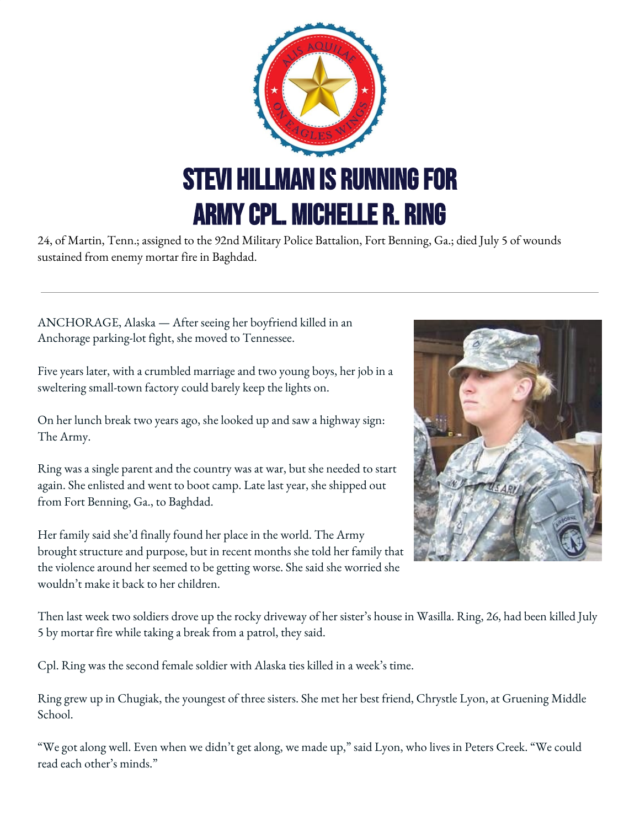

24, of Martin, Tenn.; assigned to the 92nd Military Police Battalion, Fort Benning, Ga.; died July 5 of wounds sustained from enemy mortar fire in Baghdad.

ANCHORAGE, Alaska — After seeing her boyfriend killed in an Anchorage parking-lot fight, she moved to Tennessee.

Five years later, with a crumbled marriage and two young boys, her job in a sweltering small-town factory could barely keep the lights on.

On her lunch break two years ago, she looked up and saw a highway sign: The Army.

Ring was a single parent and the country was at war, but she needed to start again. She enlisted and went to boot camp. Late last year, she shipped out from Fort Benning, Ga., to Baghdad.

Her family said she'd finally found her place in the world. The Army brought structure and purpose, but in recent months she told her family that the violence around her seemed to be getting worse. She said she worried she wouldn't make it back to her children.



Then last week two soldiers drove up the rocky driveway of her sister's house in Wasilla. Ring, 26, had been killed July 5 by mortar fire while taking a break from a patrol, they said.

Cpl. Ring was the second female soldier with Alaska ties killed in a week's time.

Ring grew up in Chugiak, the youngest of three sisters. She met her best friend, Chrystle Lyon, at Gruening Middle School.

"We got along well. Even when we didn't get along, we made up," said Lyon, who lives in Peters Creek. "We could read each other's minds."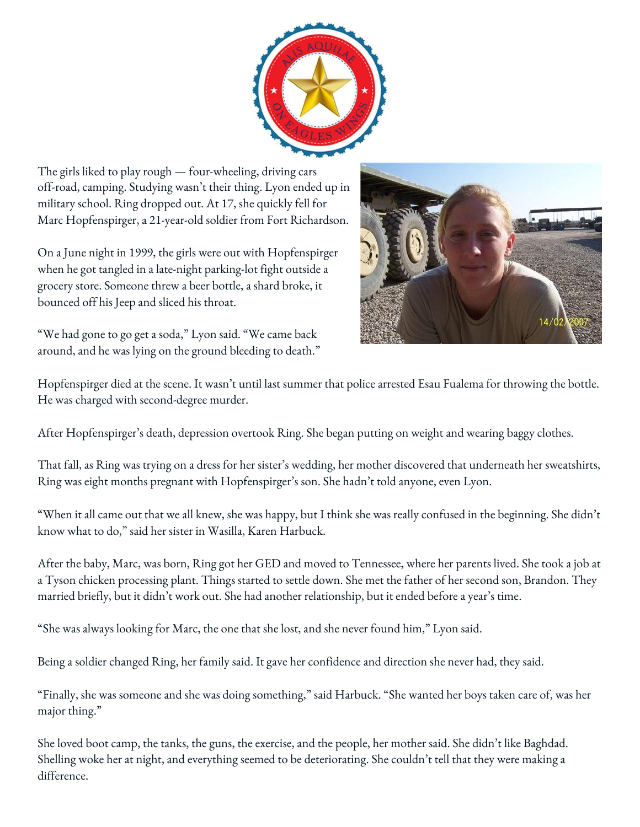

The girls liked to play rough — four-wheeling, driving cars off-road, camping. Studying wasn't their thing. Lyon ended up in military school. Ring dropped out. At 17, she quickly fell for Marc Hopfenspirger, a 21-year-old soldier from Fort Richardson.

On a June night in 1999, the girls were out with Hopfenspirger when he got tangled in a late-night parking-lot fight outside a grocery store. Someone threw a beer bottle, a shard broke, it bounced off his Jeep and sliced his throat.

"We had gone to go get a soda," Lyon said. "We came back around, and he was lying on the ground bleeding to death."



Hopfenspirger died at the scene. It wasn't until last summer that police arrested Esau Fualema for throwing the bottle. He was charged with second-degree murder.

After Hopfenspirger's death, depression overtook Ring. She began putting on weight and wearing baggy clothes.

That fall, as Ring was trying on a dress for her sister's wedding, her mother discovered that underneath her sweatshirts, Ring was eight months pregnant with Hopfenspirger's son. She hadn't told anyone, even Lyon.

"When it all came out that we all knew, she was happy, but I think she was really confused in the beginning. She didn't know what to do," said her sister in Wasilla, Karen Harbuck.

After the baby, Marc, was born, Ring got her GED and moved to Tennessee, where her parents lived. She took a job at a Tyson chicken processing plant. Things started to settle down. She met the father of her second son, Brandon. They married briefly, but it didn't work out. She had another relationship, but it ended before a year's time.

"She was always looking for Marc, the one that she lost, and she never found him," Lyon said.

Being a soldier changed Ring, her family said. It gave her confidence and direction she never had, they said.

"Finally, she was someone and she was doing something," said Harbuck. "She wanted her boys taken care of, was her major thing."

She loved boot camp, the tanks, the guns, the exercise, and the people, her mother said. She didn't like Baghdad. Shelling woke her at night, and everything seemed to be deteriorating. She couldn't tell that they were making a difference.